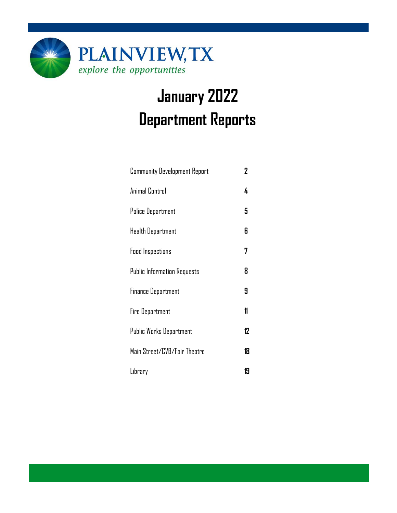

# **January 2022 Department Reports**

| <b>Community Development Report</b> | 2  |
|-------------------------------------|----|
| Animal Control                      | 4  |
| <b>Police Department</b>            | 5  |
| Health Department                   | 6  |
| <b>Food Inspections</b>             | 7  |
| <b>Public Information Requests</b>  | 8  |
| <b>Finance Department</b>           | 9  |
| <b>Fire Department</b>              | 11 |
| Public Works Department             | 12 |
| Main Street/CVB/Fair Theatre        | 18 |
| Library                             | 19 |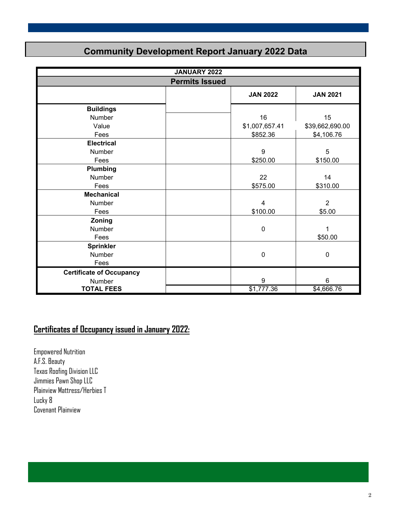### **Community Development Report January 2022 Data**

|                                 | <b>JANUARY 2022</b>   |                  |                  |
|---------------------------------|-----------------------|------------------|------------------|
|                                 | <b>Permits Issued</b> |                  |                  |
|                                 |                       | <b>JAN 2022</b>  | <b>JAN 2021</b>  |
| <b>Buildings</b>                |                       |                  |                  |
| Number                          |                       | 16               | 15               |
| Value                           |                       | \$1,007,657.41   | \$39,662,690.00  |
| Fees                            |                       | \$852.36         | \$4,106.76       |
| <b>Electrical</b>               |                       |                  |                  |
| Number                          |                       | $\boldsymbol{9}$ | 5                |
| Fees                            |                       | \$250.00         | \$150.00         |
| Plumbing                        |                       |                  |                  |
| Number                          |                       | 22               | 14               |
| Fees                            |                       | \$575.00         | \$310.00         |
| <b>Mechanical</b>               |                       |                  |                  |
| Number                          |                       | 4                | $\overline{2}$   |
| Fees                            |                       | \$100.00         | \$5.00           |
| Zoning                          |                       |                  |                  |
| <b>Number</b>                   |                       | $\mathbf 0$      | 1                |
| Fees                            |                       |                  | \$50.00          |
| <b>Sprinkler</b>                |                       |                  |                  |
| Number                          |                       | $\boldsymbol{0}$ | $\boldsymbol{0}$ |
| Fees                            |                       |                  |                  |
| <b>Certificate of Occupancy</b> |                       |                  |                  |
| Number                          |                       | 9                | $\,6\,$          |
| <b>TOTAL FEES</b>               |                       | \$1,777.36       | \$4,666.76       |

### **Certificates of Occupancy issued in January 2022:**

Empowered Nutrition A.F.S. Beauty Texas Roofing Division LLC Jimmies Pawn Shop LLC Plainview Mattress/Herbies T Lucky 8 Covenant Plainview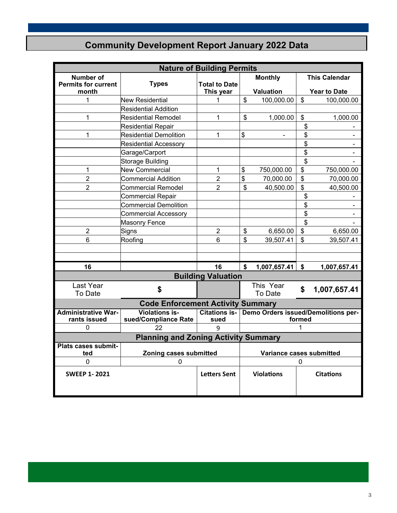# **Community Development Report January 2022 Data**

|                            | <b>Nature of Building Permits</b>                         |                           |    |                   |        |                                     |
|----------------------------|-----------------------------------------------------------|---------------------------|----|-------------------|--------|-------------------------------------|
| <b>Number of</b>           |                                                           |                           |    | <b>Monthly</b>    |        | <b>This Calendar</b>                |
| <b>Permits for current</b> | <b>Types</b>                                              | <b>Total to Date</b>      |    |                   |        |                                     |
| month                      |                                                           | This year                 |    | <b>Valuation</b>  |        | <b>Year to Date</b>                 |
| 1                          | <b>New Residential</b>                                    | 1                         | \$ | 100,000.00        | \$     | 100,000.00                          |
|                            | <b>Residential Addition</b>                               |                           |    |                   |        |                                     |
| 1                          | <b>Residential Remodel</b>                                | 1                         | \$ | 1,000.00          | \$     | 1,000.00                            |
|                            | <b>Residential Repair</b>                                 |                           |    |                   | \$     |                                     |
| 1                          | <b>Residential Demolition</b>                             | 1                         | \$ | $\blacksquare$    | \$     | -                                   |
|                            | <b>Residential Accessory</b>                              |                           |    |                   | \$     | Ξ.                                  |
|                            | Garage/Carport                                            |                           |    |                   | \$     | $\blacksquare$                      |
|                            | Storage Building                                          |                           |    |                   | \$     |                                     |
| 1                          | <b>New Commercial</b>                                     | 1                         | \$ | 750,000.00        | \$     | 750,000.00                          |
| $\overline{2}$             | <b>Commercial Addition</b>                                | $\overline{2}$            | \$ | 70,000.00         | \$     | 70,000.00                           |
| $\overline{2}$             | <b>Commercial Remodel</b>                                 | $\overline{2}$            | \$ | 40,500.00         | \$     | 40,500.00                           |
|                            | <b>Commercial Repair</b>                                  |                           |    |                   | \$     |                                     |
|                            | Commercial Demolition                                     |                           |    |                   | \$     |                                     |
|                            | <b>Commercial Accessory</b>                               |                           |    |                   | \$     |                                     |
|                            | <b>Masonry Fence</b>                                      |                           |    |                   | \$     |                                     |
| $\overline{2}$             | Signs                                                     | $\overline{2}$            | \$ | 6,650.00          | \$     | 6,650.00                            |
| 6                          | Roofing                                                   | 6                         | \$ | 39,507.41         | \$     | 39,507.41                           |
|                            |                                                           |                           |    |                   |        |                                     |
|                            |                                                           |                           |    |                   |        |                                     |
| 16                         |                                                           | 16                        | \$ | 1,007,657.41      | \$     | 1,007,657.41                        |
|                            |                                                           | <b>Building Valuation</b> |    |                   |        |                                     |
| Last Year                  |                                                           |                           |    | This Year         |        |                                     |
| To Date                    | \$                                                        |                           |    | To Date           | \$     | 1,007,657.41                        |
|                            | <b>Code Enforcement Activity Summary</b>                  |                           |    |                   |        |                                     |
| <b>Administrative War-</b> | <b>Violations is-</b>                                     | <b>Citations is-</b>      |    |                   |        | Demo Orders issued/Demolitions per- |
| rants issued               | sued/Compliance Rate                                      | sued                      |    |                   | formed |                                     |
| 0                          | 22                                                        | q                         |    |                   | 1      |                                     |
|                            | <b>Planning and Zoning Activity Summary</b>               |                           |    |                   |        |                                     |
| Plats cases submit-        |                                                           |                           |    |                   |        |                                     |
| ted                        | Zoning cases submitted<br><b>Variance cases submitted</b> |                           |    |                   |        |                                     |
| 0                          | O                                                         |                           | 0  |                   |        |                                     |
| <b>SWEEP 1-2021</b>        |                                                           | <b>Letters Sent</b>       |    | <b>Violations</b> |        | <b>Citations</b>                    |
|                            |                                                           |                           |    |                   |        |                                     |
|                            |                                                           |                           |    |                   |        |                                     |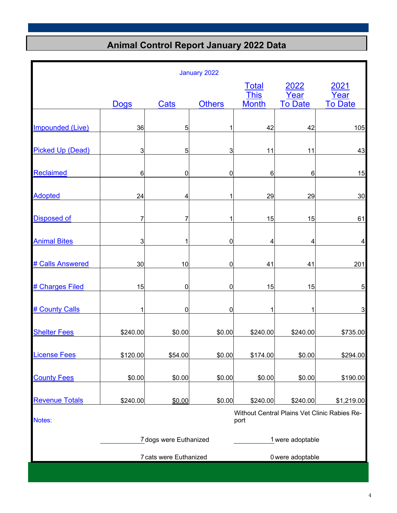# **Animal Control Report January 2022 Data**

|                         |             |                        | January 2022  |                             |                  |                                              |
|-------------------------|-------------|------------------------|---------------|-----------------------------|------------------|----------------------------------------------|
|                         |             |                        |               | <b>Total</b><br><b>This</b> | 2022<br>Year     | 2021<br>Year                                 |
|                         | <b>Dogs</b> | Cats                   | <b>Others</b> | <b>Month</b>                | <b>To Date</b>   | <b>To Date</b>                               |
| <b>Impounded (Live)</b> | 36          | 5                      | 1             | 42                          | 42               | 105                                          |
| <b>Picked Up (Dead)</b> | 3           | 5                      | 3             | 11                          | 11               | 43                                           |
| <b>Reclaimed</b>        | 6           | 0                      | 0             | 6                           | 6                | 15                                           |
| <b>Adopted</b>          | 24          | 4                      | 1             | 29                          | 29               | 30                                           |
| <b>Disposed of</b>      | 7           | 7                      | 1             | 15                          | 15               | 61                                           |
| <b>Animal Bites</b>     | 3           | 1                      | $\mathbf 0$   | 4                           | 4                | 4                                            |
| # Calls Answered        | 30          | 10                     | 0             | 41                          | 41               | 201                                          |
|                         |             |                        |               |                             |                  |                                              |
| # Charges Filed         | 15          | 0                      | $\pmb{0}$     | 15                          | 15               | 5                                            |
| # County Calls          |             | 0                      | 0             | 1                           | 1                | 3                                            |
| <b>Shelter Fees</b>     | \$240.00    | \$0.00                 | \$0.00        | \$240.00                    | \$240.00         | \$735.00                                     |
| <b>License Fees</b>     | \$120.00    | \$54.00                | \$0.00        | \$174.00                    | \$0.00           | \$294.00                                     |
| <b>County Fees</b>      | \$0.00      | \$0.00                 | \$0.00        | \$0.00                      | \$0.00           | \$190.00                                     |
| <b>Revenue Totals</b>   | \$240.00    | \$0.00                 | \$0.00        | \$240.00                    | \$240.00         | \$1,219.00                                   |
| Notes:                  |             |                        |               | port                        |                  | Without Central Plains Vet Clinic Rabies Re- |
|                         |             | 7 dogs were Euthanized |               |                             | 1 were adoptable |                                              |
|                         |             | 7 cats were Euthanized |               |                             | 0 were adoptable |                                              |
|                         |             |                        |               |                             |                  |                                              |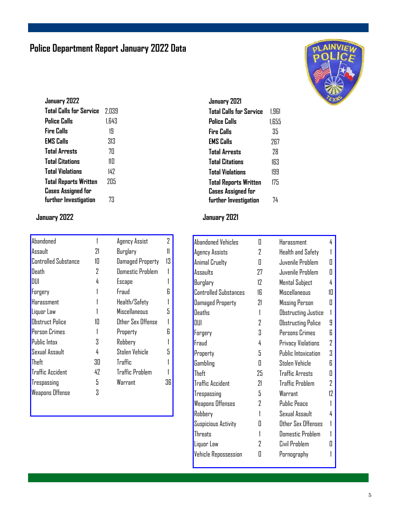# **Police Department Report January 2022 Data**

| January 2022                 |       |
|------------------------------|-------|
| Total Calls for Service      | 2.039 |
| Police Calls                 | 1.643 |
| <b>Fire Calls</b>            | 19    |
| <b>EMS Calls</b>             | 313   |
| <b>Total Arrests</b>         | 7Π    |
| <b>Total Citations</b>       | 11П   |
| <b>Total Violations</b>      | 147   |
| <b>Total Reports Written</b> | 205   |
| <b>Cases Assigned for</b>    |       |
| further Investigation        | 73    |

| Abandoned                   |    | Agency Assist           | 7  |
|-----------------------------|----|-------------------------|----|
| Assault                     | 21 | Burglary                |    |
| <b>Controlled Substance</b> | 1П | <b>Damaged Property</b> | 13 |
| Death                       | 7  | <b>Domestic Problem</b> |    |
| DUI                         | 4  | Escape                  |    |
| Forgery                     |    | Fraud                   |    |
| Harassment                  |    | Health/Safety           |    |
| Liquor Law                  |    | <b>Miscellaneous</b>    |    |
| <b>Obstruct Police</b>      | 1П | Other Sex Offense       |    |
| Person Crimes               |    | Property                |    |
| Public Intox                | 3  | Robbery                 |    |
| Sexual Assault              | 4  | Stolen Vehicle          |    |
| Theft                       | 30 | <b>Traffic</b>          |    |
| <b>Traffic Accident</b>     | 42 | <b>Traffic Problem</b>  |    |
| Trespassing                 | 5  | Warrant                 | 36 |
| <b>Weapons Offense</b>      |    |                         |    |

| January 2021                 |       |
|------------------------------|-------|
| Total Calls for Service      | 1.961 |
| Police Calls                 | 1.655 |
| <b>Fire Calls</b>            | 35    |
| <b>EMS Calls</b>             | 267   |
| <b>Total Arrests</b>         | 78    |
| <b>Total Citations</b>       | 163   |
| <b>Total Violations</b>      | 199   |
| <b>Total Reports Written</b> | 175   |
| <b>Cases Assigned for</b>    |       |
| further Investigation        | 74    |

### **January 2022 January 2021**

| <b>Abandoned Vehicles</b>    | П  | Harassment                 | 4  |
|------------------------------|----|----------------------------|----|
| <b>Agency Assists</b>        | 2  | Health and Safety          |    |
| Animal Cruelty               | Π  | Juvenile Problem           | П  |
| Assaults                     | 27 | Juvenile Problem           | Π  |
| Burglary                     | 12 | <b>Mental Subject</b>      | 4  |
| <b>Controlled Substances</b> | 16 | Miscellaneous              | 10 |
| <b>Damaged Property</b>      | 21 | Missing Person             | Π  |
| <b>Deaths</b>                | 1  | Obstructing Justice        |    |
| DUI                          | 2  | Obstructing Police         | 9  |
| Forgery                      | S. | Persons Crimes             | R  |
| Fraud                        | 4  | Privacy Violations         | 2  |
| Property                     | 5  | <b>Public Intoxication</b> | 3  |
| Gambling                     | Π  | Stolen Vehicle             | R  |
| Theft                        | 25 | <b>Traffic Arrests</b>     | Π  |
| <b>Traffic Accident</b>      | 21 | <b>Traffic Problem</b>     | 2  |
| Trespassing                  | 5  | Warrant                    | 17 |
| <b>Weapons Offenses</b>      | 2  | <b>Public Peace</b>        |    |
| Robbery                      | 1  | Sexual Assault             | 4  |
| Suspicious Activity          | П  | Other Sex Offenses         |    |
| Threats                      |    | Domestic Problem           |    |
| Liquor Law                   | 7  | Civil Problem              |    |
| <b>Vehicle Repossession</b>  | H  | Pornography                |    |
|                              |    |                            |    |

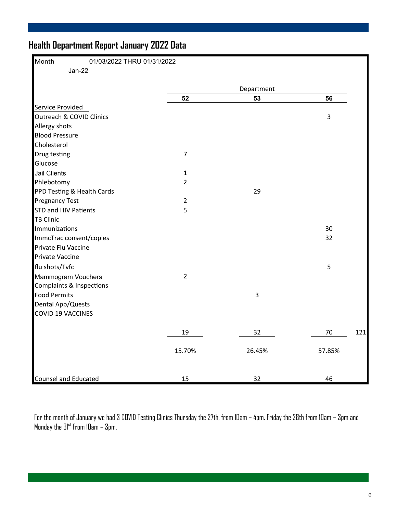# **Health Department Report January 2022 Data**

| Month<br>01/03/2022 THRU 01/31/2022 |                |            |           |
|-------------------------------------|----------------|------------|-----------|
| $Jan-22$                            |                |            |           |
|                                     |                | Department |           |
|                                     | 52             | 53         | 56        |
| Service Provided                    |                |            |           |
| Outreach & COVID Clinics            |                |            | 3         |
| Allergy shots                       |                |            |           |
| <b>Blood Pressure</b>               |                |            |           |
| Cholesterol                         |                |            |           |
| Drug testing                        | $\overline{7}$ |            |           |
| Glucose                             |                |            |           |
| <b>Jail Clients</b>                 | $\mathbf{1}$   |            |           |
| Phlebotomy                          | $\overline{2}$ |            |           |
| PPD Testing & Health Cards          |                | 29         |           |
| <b>Pregnancy Test</b>               | $\overline{2}$ |            |           |
| <b>STD and HIV Patients</b>         | 5              |            |           |
| <b>TB Clinic</b>                    |                |            |           |
| Immunizations                       |                |            | 30        |
| ImmcTrac consent/copies             |                |            | 32        |
| Private Flu Vaccine                 |                |            |           |
| <b>Private Vaccine</b>              |                |            |           |
| flu shots/Tvfc                      |                |            | 5         |
| Mammogram Vouchers                  | $\overline{2}$ |            |           |
| Complaints & Inspections            |                |            |           |
| <b>Food Permits</b>                 |                | 3          |           |
| <b>Dental App/Quests</b>            |                |            |           |
| <b>COVID 19 VACCINES</b>            |                |            |           |
|                                     |                |            |           |
|                                     | 19             | 32         | 70<br>121 |
|                                     | 15.70%         | 26.45%     | 57.85%    |
| <b>Counsel and Educated</b>         | 15             | 32         | 46        |

For the month of January we had 3 COVID Testing Clinics Thursday the 27th, from 10am – 4pm. Friday the 28th from 10am – 3pm and Monday the  $31^{\rm st}$  from 10am –  $3$ pm.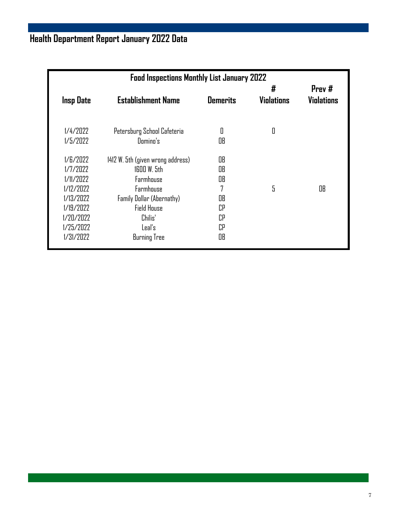# **Health Department Report January 2022 Data**

| <b>Insp Date</b>                                                                                                | <b>Establishment Name</b>                                                                                                                                                   | <b>Demerits</b>                                   | #<br><b>Violations</b> | Prev#<br><b>Violations</b> |
|-----------------------------------------------------------------------------------------------------------------|-----------------------------------------------------------------------------------------------------------------------------------------------------------------------------|---------------------------------------------------|------------------------|----------------------------|
| $1/4/7$ N $2$<br>1/5/2022                                                                                       | Petersburg School Cafeteria<br>Domino's                                                                                                                                     | 0<br>OB                                           | 0                      |                            |
| 1/E/2022<br>1/7/2022<br>1/11/2022<br>1/12/2022<br>1/13/2022<br>1/19/2022<br>1/20/2022<br>1/25/2022<br>1/31/2022 | 1412 W. 5th (given wrong address)<br>$1600 W.$ 5th<br>Farmhouse<br>Farmhouse<br>Family Dollar (Abernathy)<br><b>Field House</b><br>Chilis'<br>Leal's<br><b>Burning Tree</b> | OB<br>OB<br>OB<br>7<br>OB<br>СP<br>СP<br>СP<br>OB | 5                      | OB                         |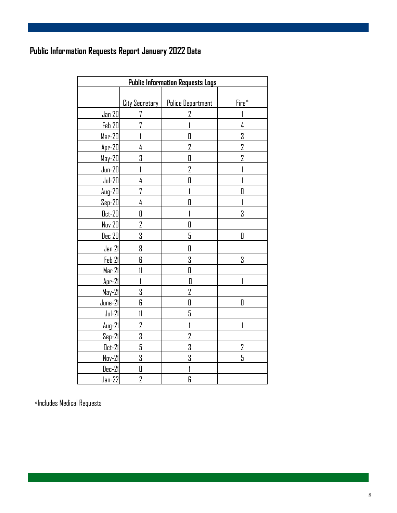# **Public Information Requests Report January 2022 Data**

|               | <b>Public Information Requests Logs</b> |                          |                |  |  |  |
|---------------|-----------------------------------------|--------------------------|----------------|--|--|--|
|               |                                         |                          |                |  |  |  |
|               | <b>City Secretary</b>                   | <b>Police Department</b> | Fire*          |  |  |  |
| Jan 20        | 7                                       | 2                        |                |  |  |  |
| Feb 20        | 7                                       |                          | 4              |  |  |  |
| $Mar-20$      |                                         | Π                        | 3              |  |  |  |
| $Apr-20$      | 4                                       | 2                        | 2              |  |  |  |
| May-20        | 3                                       | O                        | $\overline{2}$ |  |  |  |
| $Jun-20$      | 1                                       | 2                        |                |  |  |  |
| $Jul-20$      | 4                                       | Π                        |                |  |  |  |
| $Aug-20$      | 7                                       |                          | O              |  |  |  |
| $Sep-20$      | 4                                       | 0                        |                |  |  |  |
| $0ct-20$      | O                                       |                          | 3              |  |  |  |
| <b>Nov 20</b> | 2                                       | O                        |                |  |  |  |
| <u>Dec 20</u> | 3                                       | 5                        | 0              |  |  |  |
| <u>Jan 21</u> | 8                                       | 0                        |                |  |  |  |
| Feb 21        | 6                                       | 3                        | 3              |  |  |  |
| Mar 21        | $\mathfrak{m}$                          | O                        |                |  |  |  |
| $Apr-21$      | 1                                       | 0                        |                |  |  |  |
| $May-21$      | 3                                       | 2                        |                |  |  |  |
| $June-21$     | 6                                       | 0                        | D              |  |  |  |
| $Jul-21$      | $\mathfrak{m}$                          | 5                        |                |  |  |  |
| Aug-21        | 2                                       |                          |                |  |  |  |
| $Sep-21$      | 3                                       | 2                        |                |  |  |  |
| <u>Oct-21</u> | 5                                       | 3                        | 2              |  |  |  |
| <u>Nov-21</u> | 3                                       | 3                        | 5              |  |  |  |
| Dec-21        | $\Box$                                  |                          |                |  |  |  |
| $Jan-22$      | $\sqrt{2}$                              | 6                        |                |  |  |  |

\*Includes Medical Requests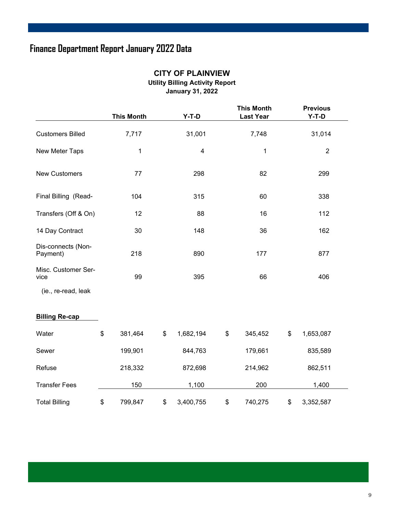# **Finance Department Report January 2022 Data**

|                                | <b>This Month</b> | $Y-T-D$                 | <b>This Month</b><br><b>Last Year</b> | <b>Previous</b><br>$Y-T-D$ |
|--------------------------------|-------------------|-------------------------|---------------------------------------|----------------------------|
| <b>Customers Billed</b>        | 7,717             | 31,001                  | 7,748                                 | 31,014                     |
| New Meter Taps                 | 1                 | $\overline{\mathbf{4}}$ | 1                                     | $\mathbf{2}$               |
| <b>New Customers</b>           | 77                | 298                     | 82                                    | 299                        |
| Final Billing (Read-           | 104               | 315                     | 60                                    | 338                        |
| Transfers (Off & On)           | 12                | 88                      | 16                                    | 112                        |
| 14 Day Contract                | 30                | 148                     | 36                                    | 162                        |
| Dis-connects (Non-<br>Payment) | 218               | 890                     | 177                                   | 877                        |
| Misc. Customer Ser-<br>vice    | 99                | 395                     | 66                                    | 406                        |
| (ie., re-read, leak            |                   |                         |                                       |                            |
| <b>Billing Re-cap</b>          |                   |                         |                                       |                            |
| Water                          | \$<br>381,464     | \$<br>1,682,194         | \$<br>345,452                         | \$<br>1,653,087            |
| Sewer                          | 199,901           | 844,763                 | 179,661                               | 835,589                    |
| Refuse                         | 218,332           | 872,698                 | 214,962                               | 862,511                    |
| <b>Transfer Fees</b>           | 150               | 1,100                   | 200                                   | 1,400                      |
| <b>Total Billing</b>           | \$<br>799,847     | \$<br>3,400,755         | \$<br>740,275                         | \$<br>3,352,587            |

#### **CITY OF PLAINVIEW**

**Utility Billing Activity Report** 

**January 31, 2022**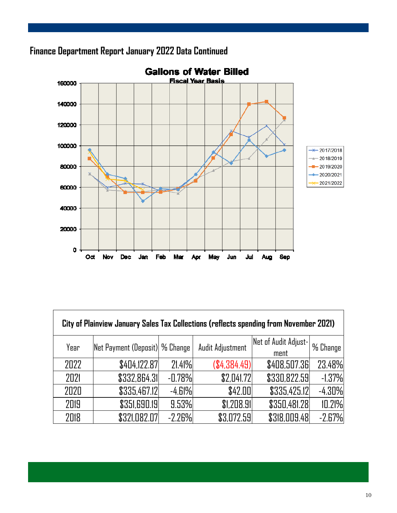

# **Finance Department Report January 2022 Data Continued**

| City of Plainview January Sales Tax Collections (reflects spending from November 2021) |                                 |          |                  |                      |            |  |  |
|----------------------------------------------------------------------------------------|---------------------------------|----------|------------------|----------------------|------------|--|--|
| Year                                                                                   | Net Payment (Deposit)  % Change |          | Audit Adjustment | Net of Audit Adjust- | l % Change |  |  |
| 2022                                                                                   | \$404,122.87                    | 21.41%   | (\$4,384.49)     | ment<br>\$408,507.36 | 23.48%     |  |  |
| 2021                                                                                   | \$332,864.31                    | $-0.78%$ | \$2,041.72       | \$330,822.59         | $-1.37%$   |  |  |
| 2020                                                                                   | \$335,467.12                    | -4.61%   | \$42.00          | \$335,425.12         | $-4.30%$   |  |  |
| 2019                                                                                   | \$351,690.19                    | 9.53%    | \$1,208.91       | \$350,481.28         | 10.21%     |  |  |
| 2018                                                                                   | \$321,082.07                    | $-2.26%$ | \$3,072.59       | \$318,009.48         | $-2.67%$   |  |  |

٦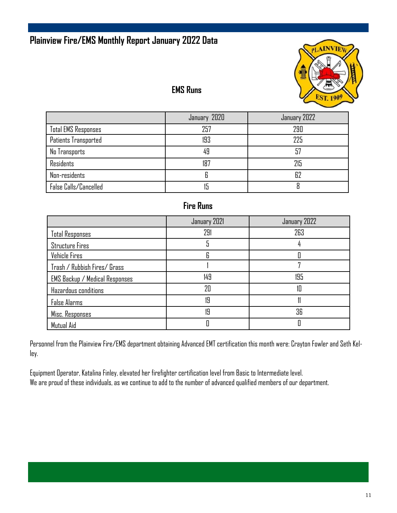### **Plainview Fire/EMS Monthly Report January 2022 Data**



### **EMS Runs**

|                            | January 2020 | January 2022 |
|----------------------------|--------------|--------------|
| <b>Total EMS Responses</b> | 257          | 290          |
| Patients Transported       | 193          | 225          |
| No Transports              | 49           | 57           |
| <b>Residents</b>           | 187          | 215          |
| Non-residents              |              | 62           |
| False Calls/Cancelled      |              |              |

### **Fire Runs**

|                                       | January 2021 | January 2022 |
|---------------------------------------|--------------|--------------|
| <b>Total Responses</b>                | 291          | 263          |
| <b>Structure Fires</b>                |              |              |
| Vehicle Fires                         | R            |              |
| Trash / Rubbish Fires/ Grass          |              |              |
| <b>EMS Backup</b> / Medical Responses | 149          | 195          |
| Hazardous conditions                  | $2\Pi$       | 10           |
| False Alarms                          | 19           |              |
| Misc. Responses                       | 19           | 36           |
| Mutual Aid                            |              |              |

Personnel from the Plainview Fire/EMS department obtaining Advanced EMT certification this month were: Crayton Fowler and Seth Kelley.

Equipment Operator, Katalina Finley, elevated her firefighter certification level from Basic to Intermediate level. We are proud of these individuals, as we continue to add to the number of advanced qualified members of our department.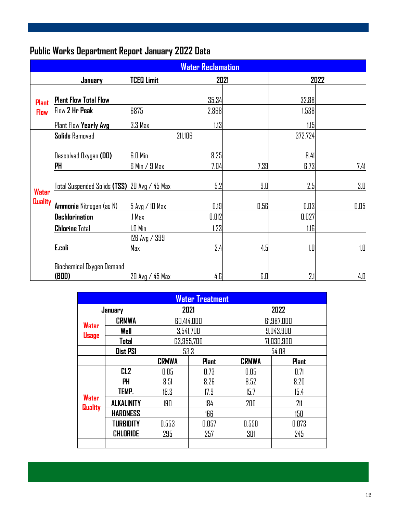# **Public Works Department Report January 2022 Data**

|                | <b>Water Reclamation</b>                     |                      |         |      |         |      |
|----------------|----------------------------------------------|----------------------|---------|------|---------|------|
|                | January                                      | <b>TCEQ Limit</b>    |         | 2021 |         | 2022 |
| <b>Plant</b>   | <b>Plant Flow Total Flow</b>                 |                      | 35.34   |      | 32.88   |      |
| <b>Flow</b>    | Flow 2 Hr Peak                               | 6875                 | 2,868   |      | 1,538   |      |
|                | Plant Flow Yearly Avg                        | 3.3 Max              | 1.13    |      | 1.15    |      |
|                | <b>Solids Removed</b>                        |                      | 211,106 |      | 372,724 |      |
|                | Dessolved Oxygen (DO)                        | <b>G.O Min</b>       | 8.25    |      | 8.41    |      |
|                | <b>PH</b>                                    | $6$ Min $/9$ Max     | 7.04    | 7.39 | 6.73    | 7.41 |
| <b>Water</b>   | Total Suspended Solids (TSS) 20 Avg / 45 Max |                      | 5.2     | 9.0  | 2.5     | 3.0  |
| <b>Quality</b> | Ammonia Nitrogen (as N)                      | 5 Avg / 10 Max       | 0.19    | 0.56 | 0.03    | 0.05 |
|                | Dechlorination                               | .1 Max               | 0.012   |      | 0.027   |      |
|                | <b>Chlorine Total</b>                        | $1.0$ Min            | 1.23    |      | 1.16    |      |
|                | E.coli                                       | 126 Avg / 399<br>Max | 2.4     | 4.5  | 1.D     | 1.0  |
|                | Biochemical Oxygen Demand<br>(BOD)           | 20 Avg / 45 Max      | 4.E     | 6.0  | 2.1     | 4.0  |

| <b>Water Treatment</b>         |                   |              |              |              |              |  |  |
|--------------------------------|-------------------|--------------|--------------|--------------|--------------|--|--|
| January                        |                   | 2021         |              | 2022         |              |  |  |
| <b>CRMWA</b>                   |                   | 60,414,000   |              | 61,987,000   |              |  |  |
| <b>Water</b><br><b>Usage</b>   | Well              | 3,541,700    |              | 9,043,900    |              |  |  |
|                                | Total             | 63,955,700   |              | 71,030,900   |              |  |  |
|                                | <b>Dist PSI</b>   | 53.3         |              | 54.08        |              |  |  |
|                                |                   | <b>CRMWA</b> | <b>Plant</b> | <b>CRMWA</b> | <b>Plant</b> |  |  |
| <b>Water</b><br><b>Quality</b> | CL <sub>2</sub>   | 0.05         | 0.73         | 0.05         | 0.71         |  |  |
|                                | PH                | 8.51         | 8.26         | 8.52         | 8.20         |  |  |
|                                | TEMP.             | 18.3         | 17.9         | 15.7         | 15.4         |  |  |
|                                | <b>ALKALINITY</b> | 190          | 184          | 200          | 211          |  |  |
|                                | <b>HARDNESS</b>   |              | 166          |              | 150          |  |  |
|                                | <b>TURBIDITY</b>  | 0.553        | 0.057        | 0.550        | 0.073        |  |  |
|                                | <b>CHLORIDE</b>   | 295          | 257          | 301          | 245          |  |  |
|                                |                   |              |              |              |              |  |  |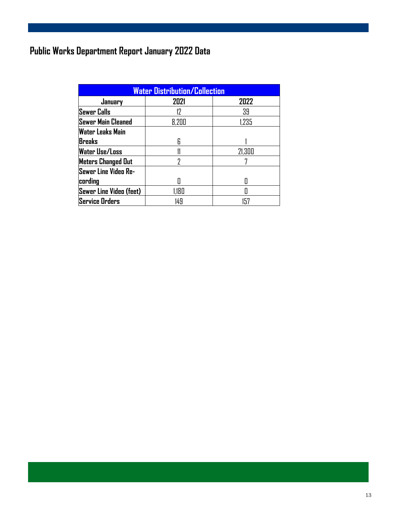# **Public Works Department Report January 2022 Data**

| <b>Water Distribution/Collection</b> |       |        |  |  |  |
|--------------------------------------|-------|--------|--|--|--|
| January                              | 2021  | 2022   |  |  |  |
| <b>Sewer Calls</b>                   | 17    | 39     |  |  |  |
| Sewer Main Cleaned                   | 8,200 | 1,235  |  |  |  |
| Water Leaks Main                     |       |        |  |  |  |
| <b>Breaks</b>                        | R     |        |  |  |  |
| <b>Water Use/Loss</b>                |       | 21,300 |  |  |  |
| <b>Meters Changed Out</b>            | 7     |        |  |  |  |
| Sewer Line Video Re-                 |       |        |  |  |  |
| cording                              |       |        |  |  |  |
| Sewer Line Video (feet)              | 1,180 |        |  |  |  |
| <b>Service Orders</b>                | 149   | 157    |  |  |  |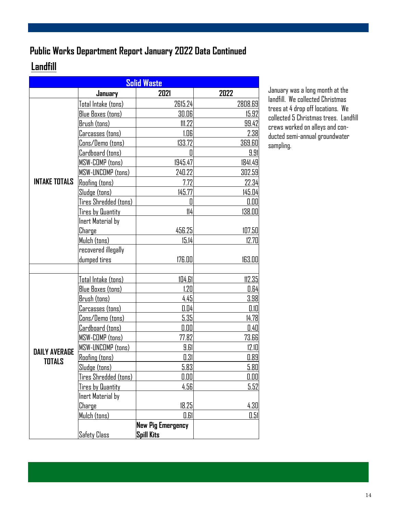# **Public Works Department Report January 2022 Data Continued**

# **Landfill**

| <b>Solid Waste</b>   |                          |                          |         |  |  |
|----------------------|--------------------------|--------------------------|---------|--|--|
|                      | January                  | 2021                     | 2022    |  |  |
|                      | Total Intake (tons)      | 2615.24                  | 2808.69 |  |  |
|                      | <b>Blue Boxes (tons)</b> | 30.06                    | 15.92   |  |  |
|                      | Brush (tons)             | 111.22                   | 99.42   |  |  |
|                      | Carcasses (tons)         | 1.06                     | 2.38    |  |  |
|                      | Cons/Demo (tons)         | 133.72                   | 369.60  |  |  |
|                      | Cardboard (tons)         | 0                        | 9.91    |  |  |
|                      | MSW-COMP (tons)          | 1945.47                  | 1841.49 |  |  |
|                      | MSW-UNCOMP (tons)        | 240.22                   | 302.59  |  |  |
| <b>INTAKE TOTALS</b> | <b>Roofing (tons)</b>    | 7.72                     | 22.34   |  |  |
|                      | Sludge (tons)            | 145.77                   | 145.04  |  |  |
|                      | Tires Shredded (tons)    | $\mathbf 0$              | 0.00    |  |  |
|                      | <u>Tires by Quantity</u> | 114                      | 138.00  |  |  |
|                      | Inert Material by        |                          |         |  |  |
|                      | Charge                   | 456.25                   | 107.50  |  |  |
|                      | Mulch (tons)             | 15.14                    | 12.70   |  |  |
|                      | recovered illegally      |                          |         |  |  |
|                      | dumped tires             | 176.00                   | 163.00  |  |  |
|                      |                          |                          |         |  |  |
|                      | Total Intake (tons)      | 104.61                   | 112.35  |  |  |
|                      | <b>Blue Boxes (tons)</b> | 1.20                     | 0.64    |  |  |
|                      | Brush (tons)             | 4.45                     | 3.98    |  |  |
|                      | Carcasses (tons)         | 0.04                     | 0.10    |  |  |
|                      | Cons/Demo (tons)         | 5.35                     | 14.78   |  |  |
|                      | Cardboard (tons)         | 0.00                     | 0.40    |  |  |
|                      | MSW-COMP (tons)          | 77.82                    | 73.66   |  |  |
| <b>DAILY AVERAGE</b> | MSW-UNCOMP (tons)        | 9.61                     | 12.10   |  |  |
| <b>TOTALS</b>        | Roofing (tons)           | 0.31                     | 0.89    |  |  |
|                      | Sludae (tans)            | 5.83                     | 5.80    |  |  |
|                      | Tires Shredded (tons)    | 0.00                     | 0.00    |  |  |
|                      | <b>Tires by Quantity</b> | 4.56                     | 5.52    |  |  |
|                      | Inert Material by        |                          |         |  |  |
|                      | Charge                   | 18.25                    | 4.30    |  |  |
|                      | Mulch (tons)             | 0.61                     | 0.51    |  |  |
|                      |                          | <b>New Pig Emergency</b> |         |  |  |
|                      | <b>Safety Class</b>      | <b>Spill Kits</b>        |         |  |  |

January was a long month at the landfill. We collected Christmas trees at 4 drop off locations. We collected 5 Christmas trees. Landfill crews worked on alleys and conducted semi-annual groundwater sampling.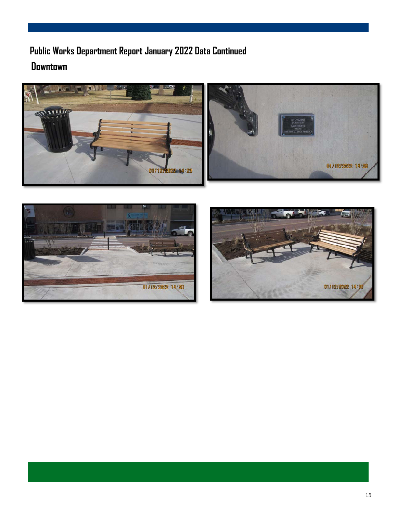# **Downtown Public Works Department Report January 2022 Data Continued**





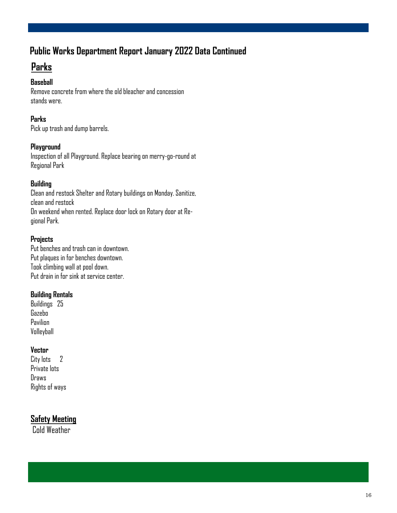# **Public Works Department Report January 2022 Data Continued**

## **Parks**

#### **Baseball**

Remove concrete from where the old bleacher and concession stands were.

#### **Parks**

Pick up trash and dump barrels.

#### **Playground**

Inspection of all Playground. Replace bearing on merry-go-round at Regional Park

#### **Building**

Clean and restock Shelter and Rotary buildings on Monday. Sanitize, clean and restock On weekend when rented. Replace door lock on Rotary door at Regional Park.

#### **Projects**

Put benches and trash can in downtown. Put plaques in for benches downtown. Took climbing wall at pool down. Put drain in for sink at service center.

#### **Building Rentals**

Buildings 25 Gazebo Pavilion Volleyball

#### **Vector**

City lots 2 Private lots Draws Rights of ways

### **Safety Meeting**

Cold Weather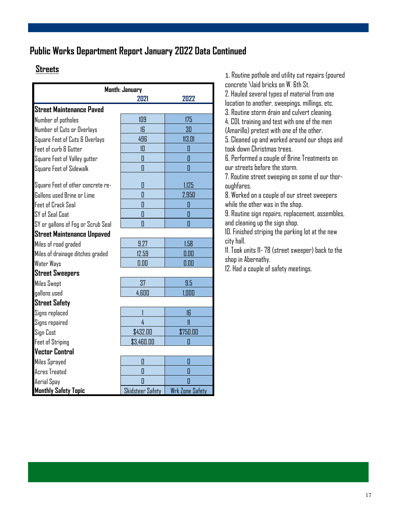### **Public Works Department Report January 2022 Data Continued**

### **Streets**

| Month: January                     |                  |                        |  |  |  |
|------------------------------------|------------------|------------------------|--|--|--|
|                                    | 2021             | 2022                   |  |  |  |
| <b>Street Maintenance Paved</b>    |                  |                        |  |  |  |
| Number of potholes                 | 109              | 175                    |  |  |  |
| Number of Cuts or Overlays         | 16               | 30                     |  |  |  |
| Square Feet of Cuts & Overlays     | 496              | 113.01                 |  |  |  |
| Feet of curb & Gutter              | 10               | 0                      |  |  |  |
| Square Feet of Valley gutter       | 0                | Ō                      |  |  |  |
| Square Feet of Sidewalk            | 0                | Ī                      |  |  |  |
| Square Feet of other concrete re-  | 0                | 1,125                  |  |  |  |
| Gallons used Brine or Lime         | 0                | 2,950                  |  |  |  |
| <b>Feet of Crack Seal</b>          | 0                | 0                      |  |  |  |
| SY of Seal Coat                    | 0                | D                      |  |  |  |
| SY or gallons of Fog or Scrub Seal | 0                | 0                      |  |  |  |
| <b>Street Maintenance Unpaved</b>  |                  |                        |  |  |  |
| Miles of road graded               | 9.27             | 1.58                   |  |  |  |
| Miles of drainage ditches graded   | 12.59            | 0.00                   |  |  |  |
| Water Ways                         | 0.00             | 0.00                   |  |  |  |
| <b>Street Sweepers</b>             |                  |                        |  |  |  |
| <b>Miles Swept</b>                 | 37               | 9.5                    |  |  |  |
| gallons used                       | 4,600            | 1,000                  |  |  |  |
| <b>Street Safety</b>               |                  |                        |  |  |  |
| Signs replaced                     |                  | 16                     |  |  |  |
| Signs repaired                     | 4                | $\mathbf{11}$          |  |  |  |
| Sign Cost                          | \$432.00         | \$750.00               |  |  |  |
| <b>Feet of Striping</b>            | \$3,460.00       | Ō                      |  |  |  |
| <b>Vector Control</b>              |                  |                        |  |  |  |
| Miles Sprayed                      | 0                | O                      |  |  |  |
| <b>Acres Treated</b>               | 0                | 0                      |  |  |  |
| Aerial Spay                        | Π                | Π                      |  |  |  |
| <b>Monthly Safety Topic</b>        | Skidsteer Safety | <b>Wrk Zone Safety</b> |  |  |  |

1. Routine pothole and utility cut repairs (poured concrete \laid bricks on W. 6th St.

2. Hauled several types of material from one

location to another, sweepings, millings, etc.

3. Routine storm drain and culvert cleaning.

4. CDL training and test with one of the men

(Amarillo) pretest with one of the other.

5. Cleaned up and worked around our shops and took down Christmas trees.

6. Performed a couple of Brine Treatments on our streets before the storm.

7. Routine street sweeping on some of our thoroughfares.

8. Worked on a couple of our street sweepers while the other was in the shop.

9. Routine sign repairs, replacement, assembles, and cleaning up the sign shop.

10. Finished striping the parking lot at the new city hall.

11. Took units 11- 78 (street sweeper) back to the shop in Abernathy.

12. Had a couple of safety meetings.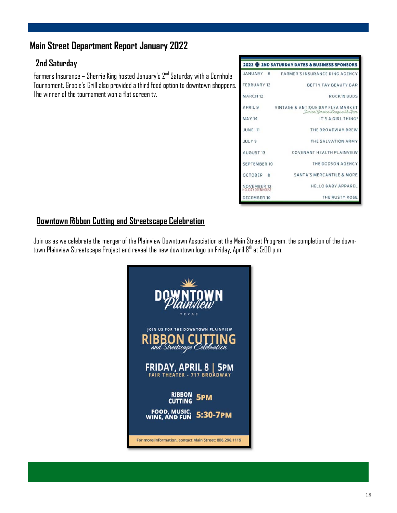### **Main Street Department Report January 2022**

### **2nd Saturday**

Farmers Insurance – Sherrie King hosted January's  $2^{nd}$  Saturday with a Cornhole Tournament. Gracie's Grill also provided a third food option to downtown shoppers. The winner of the tournament won a flat screen tv.



### **Downtown Ribbon Cutting and Streetscape Celebration**

Join us as we celebrate the merger of the Plainview Downtown Association at the Main Street Program, the completion of the downtown Plainview Streetscape Project and reveal the new downtown logo on Friday, April 8th at 5:00 p.m.